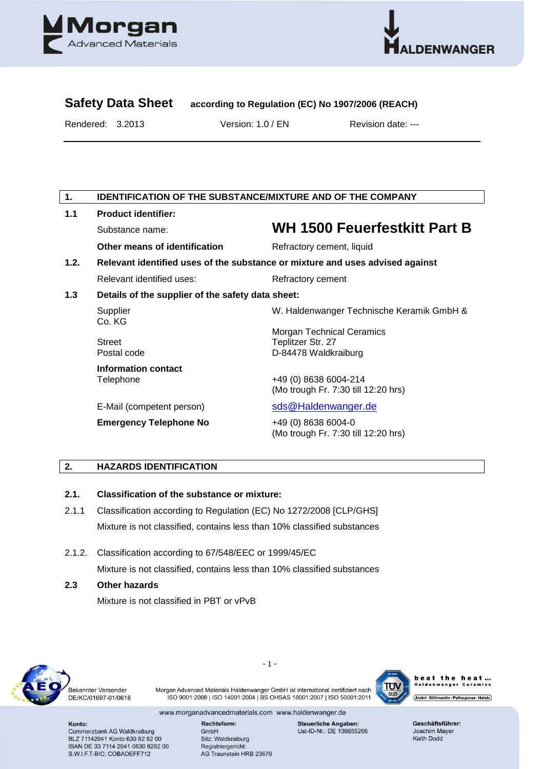



# **Safety Data Sheet according to Regulation (EC) No 1907/2006 (REACH)**

Rendered: 3.2013 Version: 1.0 / EN Revision date: ---

# **1. IDENTIFICATION OF THE SUBSTANCE/MIXTURE AND OF THE COMPANY**

| 1.1  | <b>Product identifier:</b>                                                    |                                                            |  |  |  |
|------|-------------------------------------------------------------------------------|------------------------------------------------------------|--|--|--|
|      | Substance name:                                                               | <b>WH 1500 Feuerfestkitt Part B</b>                        |  |  |  |
|      | Other means of identification                                                 | Refractory cement, liquid                                  |  |  |  |
| 1.2. | Relevant identified uses of the substance or mixture and uses advised against |                                                            |  |  |  |
|      | Relevant identified uses:                                                     | Refractory cement                                          |  |  |  |
| 1.3  | Details of the supplier of the safety data sheet:                             |                                                            |  |  |  |
|      | Supplier<br>Co. KG                                                            | W. Haldenwanger Technische Keramik GmbH &                  |  |  |  |
|      |                                                                               | <b>Morgan Technical Ceramics</b>                           |  |  |  |
|      | <b>Street</b>                                                                 | Teplitzer Str. 27                                          |  |  |  |
|      | Postal code                                                                   | D-84478 Waldkraiburg                                       |  |  |  |
|      | Information contact                                                           |                                                            |  |  |  |
|      | Telephone                                                                     | +49 (0) 8638 6004-214                                      |  |  |  |
|      |                                                                               | (Mo trough Fr. 7:30 till 12:20 hrs)                        |  |  |  |
|      | E-Mail (competent person)                                                     | sds@Haldenwanger.de                                        |  |  |  |
|      | <b>Emergency Telephone No</b>                                                 | +49 (0) 8638 6004-0<br>(Mo trough Fr. 7:30 till 12:20 hrs) |  |  |  |

# **2. HAZARDS IDENTIFICATION**

#### **2.1. Classification of the substance or mixture:**

- 2.1.1 Classification according to Regulation (EC) No 1272/2008 [CLP/GHS] Mixture is not classified, contains less than 10% classified substances
- 2.1.2. Classification according to 67/548/EEC or 1999/45/EC Mixture is not classified, contains less than 10% classified substances
- **2.3 Other hazards**

Mixture is not classified in PBT or vPvB



Bekannter Versender DE/KC/01697-01/0618

Morgan Advanced Materials Haldenwanger GmbH ist international zertifiziert nach ISO 9001:2008 | ISO 14001:2004 | BS OHSAS 18001:2007 | ISO 50001:2011

- 1 -



heat the heat... wanger Ceramics ...<br>wanger Ceramics Alsint · Sillimantin · Pythagoras · Halsic

www.morganadvancedmaterials.com www.haldenwanger.de

Konto: Commerzbank AG Waldkraiburg BLZ 71142041 Konto 630 82 82 00 IBAN DE 33 7114 2041 0630 8282 00 S.W.I.F.T-BIC: COBADEFF712

Rechtsform: GmbH Sitz: Waldkraiburg Registriergericht:

AG Traunstein HRB 23679

**Steuerliche Angaben:** Ust-ID-Nr.: DE 136655266 Geschäftsführer: Joachim Mayer **Keith Dodd**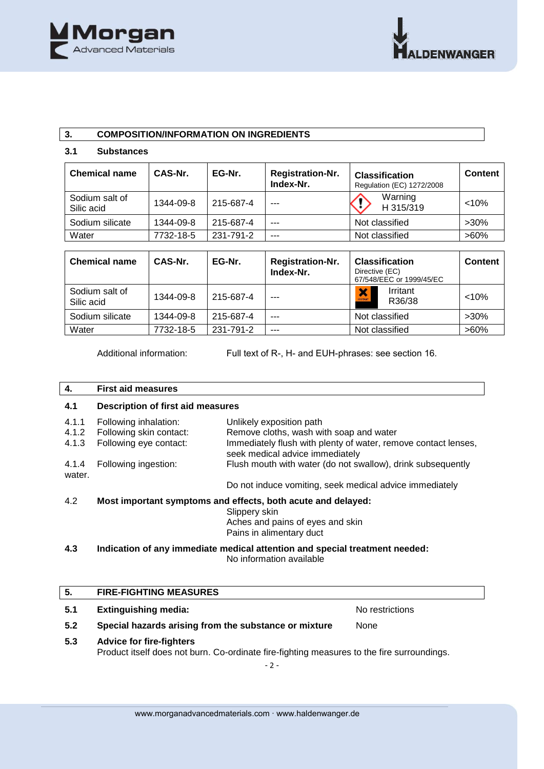

# **3. COMPOSITION/INFORMATION ON INGREDIENTS**

#### **3.1 Substances**

| <b>Chemical name</b>         | CAS-Nr.   | EG-Nr.    | <b>Registration-Nr.</b><br>Index-Nr. | <b>Classification</b><br>Regulation (EC) 1272/2008 | <b>Content</b> |
|------------------------------|-----------|-----------|--------------------------------------|----------------------------------------------------|----------------|
| Sodium salt of<br>Silic acid | 1344-09-8 | 215-687-4 | ---                                  | Warning<br>H 315/319                               | < 10%          |
| Sodium silicate              | 1344-09-8 | 215-687-4 | ---                                  | Not classified                                     | $>30\%$        |
| Water                        | 7732-18-5 | 231-791-2 | ---                                  | Not classified                                     | $>60\%$        |

| <b>Chemical name</b>         | CAS-Nr.   | EG-Nr.    | <b>Registration-Nr.</b><br>Index-Nr. | <b>Classification</b><br>Directive (EC)<br>67/548/EEC or 1999/45/EC | <b>Content</b> |
|------------------------------|-----------|-----------|--------------------------------------|---------------------------------------------------------------------|----------------|
| Sodium salt of<br>Silic acid | 1344-09-8 | 215-687-4 |                                      | Irritant<br>×<br>R36/38                                             | $< 10\%$       |
| Sodium silicate              | 1344-09-8 | 215-687-4 | ---                                  | Not classified                                                      | $>30\%$        |
| Water                        | 7732-18-5 | 231-791-2 | ---                                  | Not classified                                                      | $>60\%$        |

Additional information: Full text of R-, H- and EUH-phrases: see section 16.

# **4. First aid measures 4.1 Description of first aid measures** 4.1.1 Following inhalation: Unlikely exposition path

| <b>PRIMERY CAPOSITION PUT</b>                                                                     |
|---------------------------------------------------------------------------------------------------|
| Remove cloths, wash with soap and water                                                           |
| Immediately flush with plenty of water, remove contact lenses,<br>seek medical advice immediately |
| Flush mouth with water (do not swallow), drink subsequently                                       |
| 4.1.2 Following skin contact:<br>4.1.3 Following eye contact:<br>4.1.4 Following ingestion:       |

Do not induce vomiting, seek medical advice immediately

# 4.2 **Most important symptoms and effects, both acute and delayed:**

Slippery skin Aches and pains of eyes and skin Pains in alimentary duct

### **4.3 Indication of any immediate medical attention and special treatment needed:** No information available

# **5. FIRE-FIGHTING MEASURES**

# **5.1** Extinguishing media: No restrictions

## **5.2 Special hazards arising from the substance or mixture** None

#### **5.3 Advice for fire-fighters**

Product itself does not burn. Co-ordinate fire-fighting measures to the fire surroundings.

- 2 -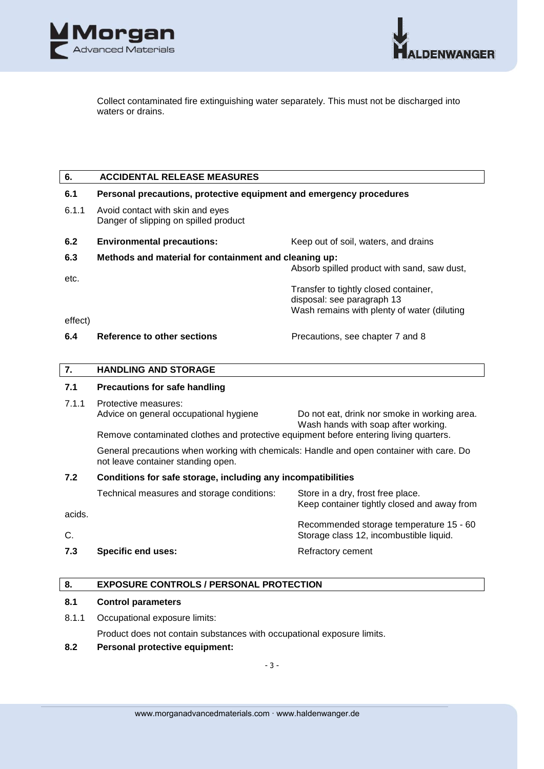



Collect contaminated fire extinguishing water separately. This must not be discharged into waters or drains.

#### **6. ACCIDENTAL RELEASE MEASURES**

#### **6.1 Personal precautions, protective equipment and emergency procedures**

6.1.1 Avoid contact with skin and eyes Danger of slipping on spilled product

# **6.2 Environmental precautions:** Keep out of soil, waters, and drains

#### **6.3 Methods and material for containment and cleaning up:**

Absorb spilled product with sand, saw dust,

Transfer to tightly closed container, disposal: see paragraph 13 Wash remains with plenty of water (diluting

effect)

etc.

#### **6.4 Reference to other sections** Precautions, see chapter 7 and 8

### **7. HANDLING AND STORAGE**

#### **7.1 Precautions for safe handling**

7.1.1 Protective measures: Advice on general occupational hygiene Do not eat, drink nor smoke in working area. Wash hands with soap after working.

Remove contaminated clothes and protective equipment before entering living quarters.

General precautions when working with chemicals: Handle and open container with care. Do not leave container standing open.

## **7.2 Conditions for safe storage, including any incompatibilities**

|        | Technical measures and storage conditions: | Store in a dry, frost free place.<br>Keep container tightly closed and away from |
|--------|--------------------------------------------|----------------------------------------------------------------------------------|
| acids. |                                            | Recommended storage temperature 15 - 60                                          |
| C.     |                                            | Storage class 12, incombustible liquid.                                          |

**7.3 Specific end uses:** Refractory cement

# **8. EXPOSURE CONTROLS / PERSONAL PROTECTION**

#### **8.1 Control parameters**

8.1.1 Occupational exposure limits:

Product does not contain substances with occupational exposure limits.

**8.2 Personal protective equipment:**

- 3 -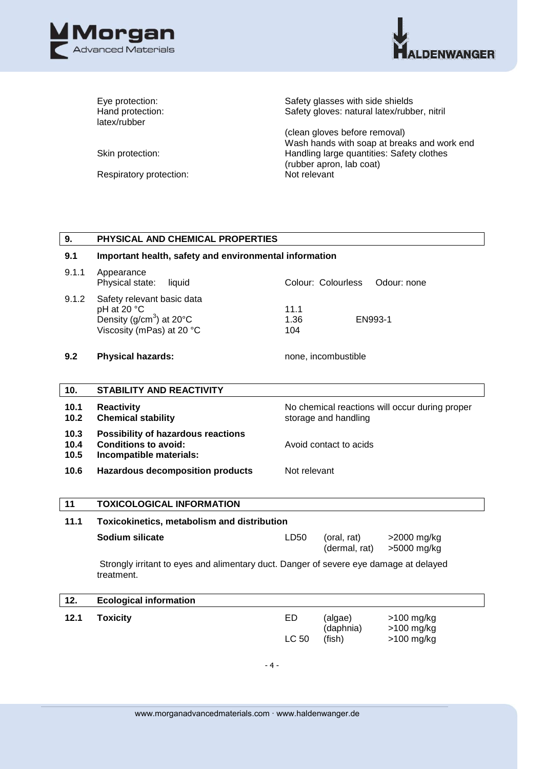



latex/rubber

Respiratory protection: Not relevant

Eye protection: Safety glasses with side shields Hand protection: Safety gloves: natural latex/rubber, nitril

(clean gloves before removal) Wash hands with soap at breaks and work end Skin protection: **Handling large quantities: Safety clothes** (rubber apron, lab coat)

| 9.                   | PHYSICAL AND CHEMICAL PROPERTIES                                                                                 |                                                                        |                                |                                          |  |
|----------------------|------------------------------------------------------------------------------------------------------------------|------------------------------------------------------------------------|--------------------------------|------------------------------------------|--|
| 9.1                  | Important health, safety and environmental information                                                           |                                                                        |                                |                                          |  |
| 9.1.1                | Appearance<br>Physical state:<br>liquid                                                                          |                                                                        | Colour: Colourless             | Odour: none                              |  |
| 9.1.2                | Safety relevant basic data<br>pH at 20 °C<br>Density ( $g/cm3$ ) at 20 $^{\circ}$ C<br>Viscosity (mPas) at 20 °C | 11.1<br>1.36<br>104                                                    | EN993-1                        |                                          |  |
| 9.2                  | <b>Physical hazards:</b>                                                                                         | none, incombustible                                                    |                                |                                          |  |
| 10.                  | STABILITY AND REACTIVITY                                                                                         |                                                                        |                                |                                          |  |
| 10.1<br>10.2         | <b>Reactivity</b><br><b>Chemical stability</b>                                                                   | No chemical reactions will occur during proper<br>storage and handling |                                |                                          |  |
| 10.3<br>10.4<br>10.5 | Possibility of hazardous reactions<br><b>Conditions to avoid:</b><br>Incompatible materials:                     | Avoid contact to acids                                                 |                                |                                          |  |
| 10.6                 | <b>Hazardous decomposition products</b>                                                                          | Not relevant                                                           |                                |                                          |  |
| 11                   | <b>TOXICOLOGICAL INFORMATION</b>                                                                                 |                                                                        |                                |                                          |  |
| 11.1                 | Toxicokinetics, metabolism and distribution                                                                      |                                                                        |                                |                                          |  |
|                      | Sodium silicate                                                                                                  | LD50                                                                   | (oral, rat)<br>(dermal, rat)   | >2000 mg/kg<br>>5000 mg/kg               |  |
|                      | Strongly irritant to eyes and alimentary duct. Danger of severe eye damage at delayed<br>treatment.              |                                                                        |                                |                                          |  |
| 12.                  | <b>Ecological information</b>                                                                                    |                                                                        |                                |                                          |  |
| 12.1                 | <b>Toxicity</b>                                                                                                  | <b>ED</b><br><b>LC 50</b>                                              | (algae)<br>(daphnia)<br>(fish) | >100 mg/kg<br>>100 mg/kg<br>$>100$ mg/kg |  |
|                      | $-4-$                                                                                                            |                                                                        |                                |                                          |  |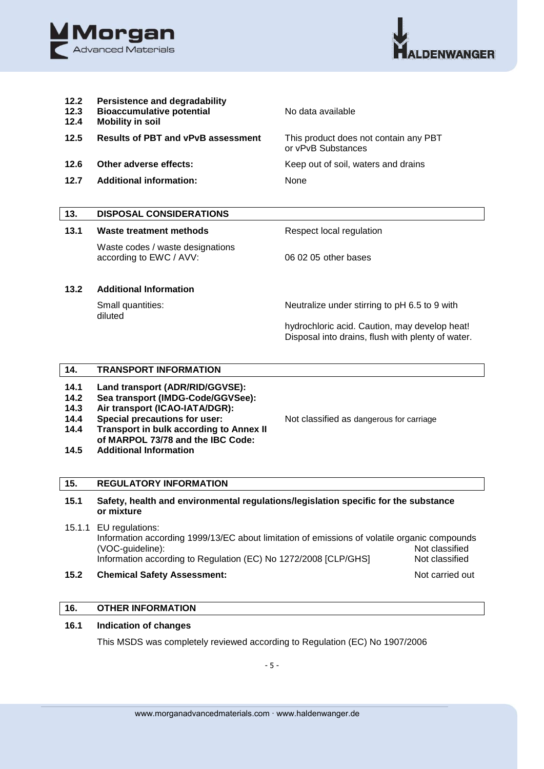



**12.2 Persistence and degradability 12.3 Bioaccumulative potential** No data available **12.4 Mobility in soil 12.5 Results of PBT and vPvB assessment** This product does not contain any PBT or vPvB Substances **12.6 Other adverse effects:** Keep out of soil, waters and drains **12.7 Additional information:** None

# **13. DISPOSAL CONSIDERATIONS**

# **13.1 Waste treatment methods** Respect local regulation

Waste codes / waste designations according to EWC / AVV: 06 02 05 other bases

# **13.2 Additional Information**

diluted

Small quantities: Neutralize under stirring to pH 6.5 to 9 with

hydrochloric acid. Caution, may develop heat! Disposal into drains, flush with plenty of water.

### **14. TRANSPORT INFORMATION**

- **14.1 Land transport (ADR/RID/GGVSE):**
- **14.2 Sea transport (IMDG-Code/GGVSee):**
- **14.3 Air transport (ICAO-IATA/DGR):**
- 14.4 **Special precautions for user:** Not classified as dangerous for carriage
- **14.4 Transport in bulk according to Annex II of MARPOL 73/78 and the IBC Code:**

**14.5 Additional Information**

#### **15. REGULATORY INFORMATION**

## **15.1 Safety, health and environmental regulations/legislation specific for the substance or mixture**

- 15.1.1 EU regulations: Information according 1999/13/EC about limitation of emissions of volatile organic compounds (VOC-guideline): Not classified Information according to Regulation (EC) No 1272/2008 [CLP/GHS] Not classified
- **15.2 Chemical Safety Assessment:** Not carried out

# **16. OTHER INFORMATION**

# **16.1 Indication of changes**

This MSDS was completely reviewed according to Regulation (EC) No 1907/2006